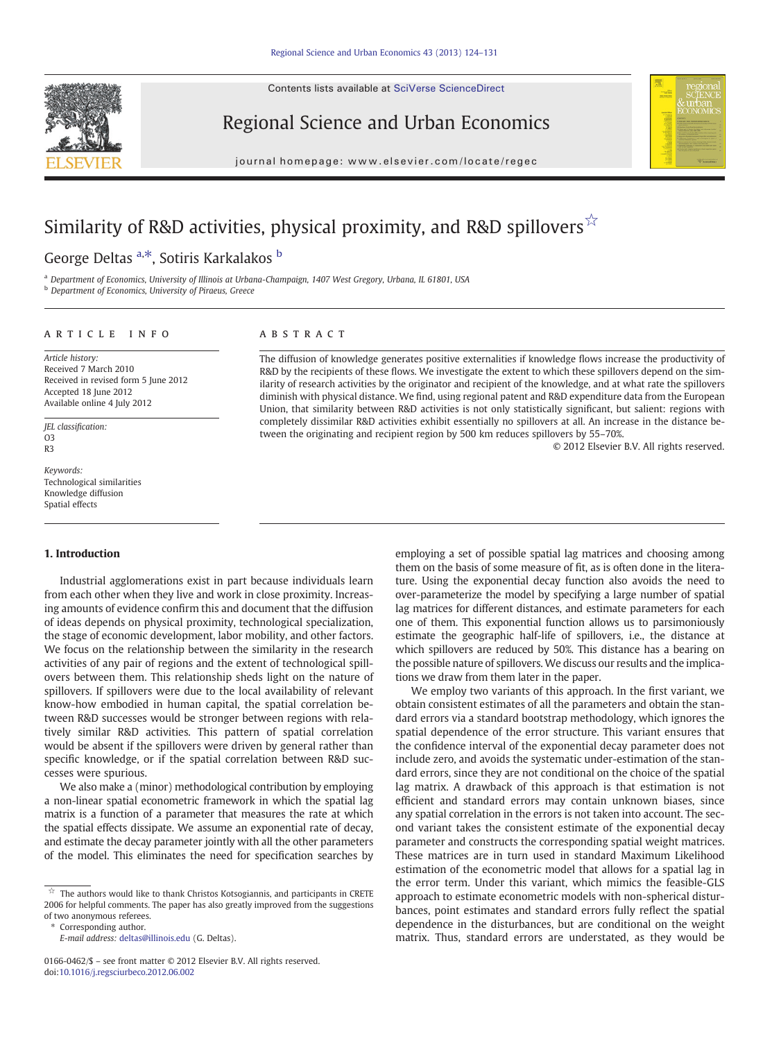Contents lists available at SciVerse ScienceDirect



Regional Science and Urban Economics



journal homepage: www.elsevier.com/locate/regec

# Similarity of R&D activities, physical proximity, and R&D spillovers  $\overleftrightarrow{x}$

George Deltas <sup>a,\*</sup>, Sotiris Karkalakos <sup>b</sup>

a Department of Economics, University of Illinois at Urbana-Champaign, 1407 West Gregory, Urbana, IL 61801, USA

**b** Department of Economics, University of Piraeus, Greece

### article info abstract

Article history: Received 7 March 2010 Received in revised form 5 June 2012 Accepted 18 June 2012 Available online 4 July 2012

JEL classification: O3 R3

Keywords: Technological similarities Knowledge diffusion Spatial effects

### 1. Introduction

Industrial agglomerations exist in part because individuals learn from each other when they live and work in close proximity. Increasing amounts of evidence confirm this and document that the diffusion of ideas depends on physical proximity, technological specialization, the stage of economic development, labor mobility, and other factors. We focus on the relationship between the similarity in the research activities of any pair of regions and the extent of technological spillovers between them. This relationship sheds light on the nature of spillovers. If spillovers were due to the local availability of relevant know-how embodied in human capital, the spatial correlation between R&D successes would be stronger between regions with relatively similar R&D activities. This pattern of spatial correlation would be absent if the spillovers were driven by general rather than specific knowledge, or if the spatial correlation between R&D successes were spurious.

We also make a (minor) methodological contribution by employing a non-linear spatial econometric framework in which the spatial lag matrix is a function of a parameter that measures the rate at which the spatial effects dissipate. We assume an exponential rate of decay, and estimate the decay parameter jointly with all the other parameters of the model. This eliminates the need for specification searches by

⁎ Corresponding author.

The diffusion of knowledge generates positive externalities if knowledge flows increase the productivity of R&D by the recipients of these flows. We investigate the extent to which these spillovers depend on the similarity of research activities by the originator and recipient of the knowledge, and at what rate the spillovers diminish with physical distance. We find, using regional patent and R&D expenditure data from the European Union, that similarity between R&D activities is not only statistically significant, but salient: regions with completely dissimilar R&D activities exhibit essentially no spillovers at all. An increase in the distance between the originating and recipient region by 500 km reduces spillovers by 55–70%.

© 2012 Elsevier B.V. All rights reserved.

employing a set of possible spatial lag matrices and choosing among them on the basis of some measure of fit, as is often done in the literature. Using the exponential decay function also avoids the need to over-parameterize the model by specifying a large number of spatial lag matrices for different distances, and estimate parameters for each one of them. This exponential function allows us to parsimoniously estimate the geographic half-life of spillovers, i.e., the distance at which spillovers are reduced by 50%. This distance has a bearing on the possible nature of spillovers. We discuss our results and the implications we draw from them later in the paper.

We employ two variants of this approach. In the first variant, we obtain consistent estimates of all the parameters and obtain the standard errors via a standard bootstrap methodology, which ignores the spatial dependence of the error structure. This variant ensures that the confidence interval of the exponential decay parameter does not include zero, and avoids the systematic under-estimation of the standard errors, since they are not conditional on the choice of the spatial lag matrix. A drawback of this approach is that estimation is not efficient and standard errors may contain unknown biases, since any spatial correlation in the errors is not taken into account. The second variant takes the consistent estimate of the exponential decay parameter and constructs the corresponding spatial weight matrices. These matrices are in turn used in standard Maximum Likelihood estimation of the econometric model that allows for a spatial lag in the error term. Under this variant, which mimics the feasible-GLS approach to estimate econometric models with non-spherical disturbances, point estimates and standard errors fully reflect the spatial dependence in the disturbances, but are conditional on the weight matrix. Thus, standard errors are understated, as they would be

 $\overrightarrow{a}$  The authors would like to thank Christos Kotsogiannis, and participants in CRETE 2006 for helpful comments. The paper has also greatly improved from the suggestions of two anonymous referees.

E-mail address: [deltas@illinois.edu](mailto:deltas@illinois.edu) (G. Deltas).

<sup>0166-0462/\$</sup> – see front matter © 2012 Elsevier B.V. All rights reserved. doi[:10.1016/j.regsciurbeco.2012.06.002](http://dx.doi.org/10.1016/j.regsciurbeco.2012.06.002)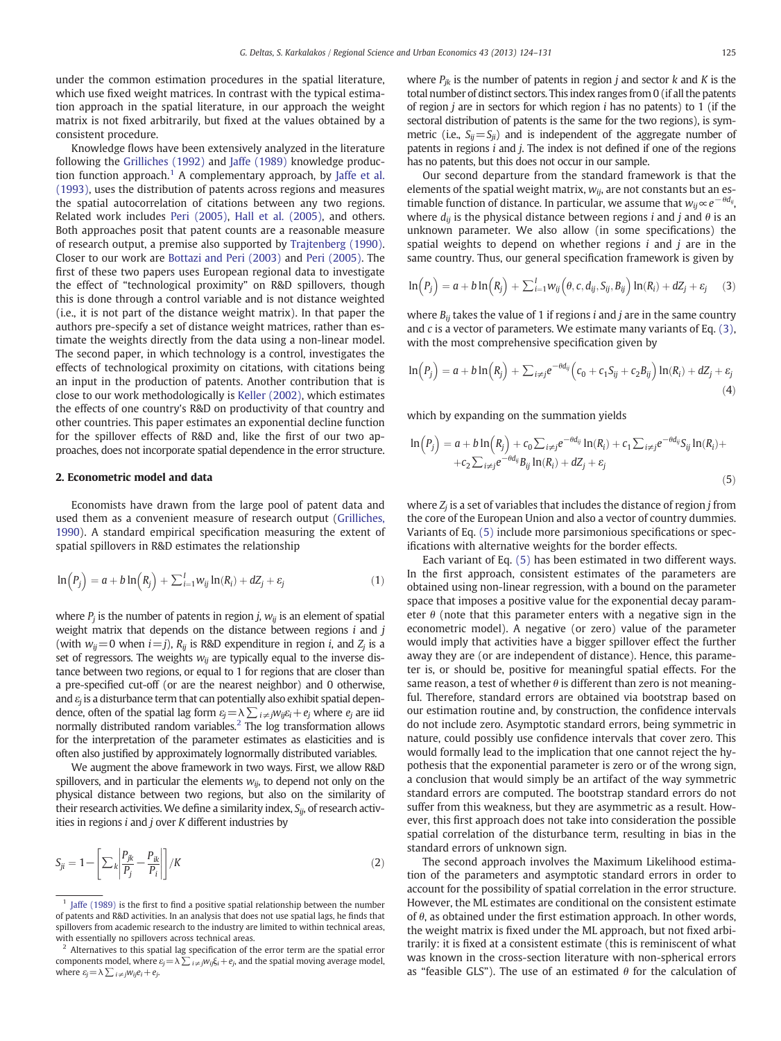under the common estimation procedures in the spatial literature, which use fixed weight matrices. In contrast with the typical estimation approach in the spatial literature, in our approach the weight matrix is not fixed arbitrarily, but fixed at the values obtained by a consistent procedure.

Knowledge flows have been extensively analyzed in the literature following the [Grilliches \(1992\)](#page--1-0) and [Jaffe \(1989\)](#page--1-0) knowledge produc-tion function approach.<sup>1</sup> A complementary approach, by [Jaffe et al.](#page--1-0) [\(1993\),](#page--1-0) uses the distribution of patents across regions and measures the spatial autocorrelation of citations between any two regions. Related work includes [Peri \(2005\)](#page--1-0), [Hall et al. \(2005\),](#page--1-0) and others. Both approaches posit that patent counts are a reasonable measure of research output, a premise also supported by [Trajtenberg \(1990\).](#page--1-0) Closer to our work are [Bottazi and Peri \(2003\)](#page--1-0) and [Peri \(2005\).](#page--1-0) The first of these two papers uses European regional data to investigate the effect of "technological proximity" on R&D spillovers, though this is done through a control variable and is not distance weighted (i.e., it is not part of the distance weight matrix). In that paper the authors pre-specify a set of distance weight matrices, rather than estimate the weights directly from the data using a non-linear model. The second paper, in which technology is a control, investigates the effects of technological proximity on citations, with citations being an input in the production of patents. Another contribution that is close to our work methodologically is [Keller \(2002\)](#page--1-0), which estimates the effects of one country's R&D on productivity of that country and other countries. This paper estimates an exponential decline function for the spillover effects of R&D and, like the first of our two approaches, does not incorporate spatial dependence in the error structure.

### 2. Econometric model and data

Economists have drawn from the large pool of patent data and used them as a convenient measure of research output ([Grilliches,](#page--1-0) [1990\)](#page--1-0). A standard empirical specification measuring the extent of spatial spillovers in R&D estimates the relationship

$$
\ln(P_j) = a + b \ln(R_j) + \sum_{i=1}^{I} w_{ij} \ln(R_i) + dZ_j + \varepsilon_j
$$
\n(1)

where  $P_i$  is the number of patents in region *j*,  $w_{ii}$  is an element of spatial weight matrix that depends on the distance between regions *i* and *j* (with  $w_{ij}=0$  when  $i=j$ ),  $R_{ij}$  is R&D expenditure in region *i*, and  $Z_i$  is a set of regressors. The weights  $w_{ij}$  are typically equal to the inverse distance between two regions, or equal to 1 for regions that are closer than a pre-specified cut-off (or are the nearest neighbor) and 0 otherwise, and  $\varepsilon_i$  is a disturbance term that can potentially also exhibit spatial dependence, often of the spatial lag form  $\varepsilon_j \!=\! \lambda \sum_{i\neq j} \! w_{ij} \varepsilon_i \! + \! e_j$  where  $e_j$  are iid normally distributed random variables. $<sup>2</sup>$  The log transformation allows</sup> for the interpretation of the parameter estimates as elasticities and is often also justified by approximately lognormally distributed variables.

We augment the above framework in two ways. First, we allow R&D spillovers, and in particular the elements  $w_{ij}$ , to depend not only on the physical distance between two regions, but also on the similarity of their research activities. We define a similarity index,  $S_{ij}$ , of research activities in regions i and j over K different industries by

$$
S_{ji} = 1 - \left[\sum_{k} \left| \frac{P_{jk}}{P_j} - \frac{P_{ik}}{P_i} \right| \right] / K \tag{2}
$$

where  $P_{ik}$  is the number of patents in region *j* and sector *k* and *K* is the total number of distinct sectors. This index ranges from 0 (if all the patents of region j are in sectors for which region i has no patents) to 1 (if the sectoral distribution of patents is the same for the two regions), is symmetric (i.e.,  $S_{ii} = S_{ii}$ ) and is independent of the aggregate number of patents in regions i and j. The index is not defined if one of the regions has no patents, but this does not occur in our sample.

Our second departure from the standard framework is that the elements of the spatial weight matrix,  $w_{ij}$ , are not constants but an estimable function of distance. In particular, we assume that  $w_{ij}$ ∝e<sup>−θd<sub>ij</sub></sup> where  $d_{ii}$  is the physical distance between regions *i* and *j* and  $\theta$  is an unknown parameter. We also allow (in some specifications) the spatial weights to depend on whether regions  $i$  and  $j$  are in the same country. Thus, our general specification framework is given by

$$
\ln(P_j) = a + b \ln(R_j) + \sum_{i=1}^{I} w_{ij} (\theta, c, d_{ij}, S_{ij}, B_{ij}) \ln(R_i) + dZ_j + \varepsilon_j
$$
 (3)

where  $B_{ii}$  takes the value of 1 if regions *i* and *j* are in the same country and  $c$  is a vector of parameters. We estimate many variants of Eq.  $(3)$ , with the most comprehensive specification given by

$$
\ln(P_j) = a + b \ln(R_j) + \sum_{i \neq j} e^{-\theta d_{ij}} \left( c_0 + c_1 S_{ij} + c_2 B_{ij} \right) \ln(R_i) + dZ_j + \varepsilon_j
$$
\n(4)

which by expanding on the summation yields

$$
\ln(P_j) = a + b \ln(R_j) + c_0 \sum_{i \neq j} e^{-\theta d_{ij}} \ln(R_i) + c_1 \sum_{i \neq j} e^{-\theta d_{ij}} S_{ij} \ln(R_i) + c_2 \sum_{i \neq j} e^{-\theta d_{ij}} B_{ij} \ln(R_i) + dZ_j + \varepsilon_j
$$
\n(5)

where  $Z_i$  is a set of variables that includes the distance of region *j* from the core of the European Union and also a vector of country dummies. Variants of Eq. (5) include more parsimonious specifications or specifications with alternative weights for the border effects.

Each variant of Eq. (5) has been estimated in two different ways. In the first approach, consistent estimates of the parameters are obtained using non-linear regression, with a bound on the parameter space that imposes a positive value for the exponential decay parameter  $\theta$  (note that this parameter enters with a negative sign in the econometric model). A negative (or zero) value of the parameter would imply that activities have a bigger spillover effect the further away they are (or are independent of distance). Hence, this parameter is, or should be, positive for meaningful spatial effects. For the same reason, a test of whether  $\theta$  is different than zero is not meaningful. Therefore, standard errors are obtained via bootstrap based on our estimation routine and, by construction, the confidence intervals do not include zero. Asymptotic standard errors, being symmetric in nature, could possibly use confidence intervals that cover zero. This would formally lead to the implication that one cannot reject the hypothesis that the exponential parameter is zero or of the wrong sign, a conclusion that would simply be an artifact of the way symmetric standard errors are computed. The bootstrap standard errors do not suffer from this weakness, but they are asymmetric as a result. However, this first approach does not take into consideration the possible spatial correlation of the disturbance term, resulting in bias in the standard errors of unknown sign.

The second approach involves the Maximum Likelihood estimation of the parameters and asymptotic standard errors in order to account for the possibility of spatial correlation in the error structure. However, the ML estimates are conditional on the consistent estimate of  $\theta$ , as obtained under the first estimation approach. In other words, the weight matrix is fixed under the ML approach, but not fixed arbitrarily: it is fixed at a consistent estimate (this is reminiscent of what was known in the cross-section literature with non-spherical errors as "feasible GLS"). The use of an estimated  $\theta$  for the calculation of

 $1$  [Jaffe \(1989\)](#page--1-0) is the first to find a positive spatial relationship between the number of patents and R&D activities. In an analysis that does not use spatial lags, he finds that spillovers from academic research to the industry are limited to within technical areas, with essentially no spillovers across technical areas.

 $2$  Alternatives to this spatial lag specification of the error term are the spatial error components model, where  $\varepsilon_j = \lambda \sum_{i \neq j} w_{ij} \xi_i + e_j$ , and the spatial moving average model, where  $\varepsilon_j = \lambda \sum_{i \neq j} w_{ij} e_i + e_j$ .